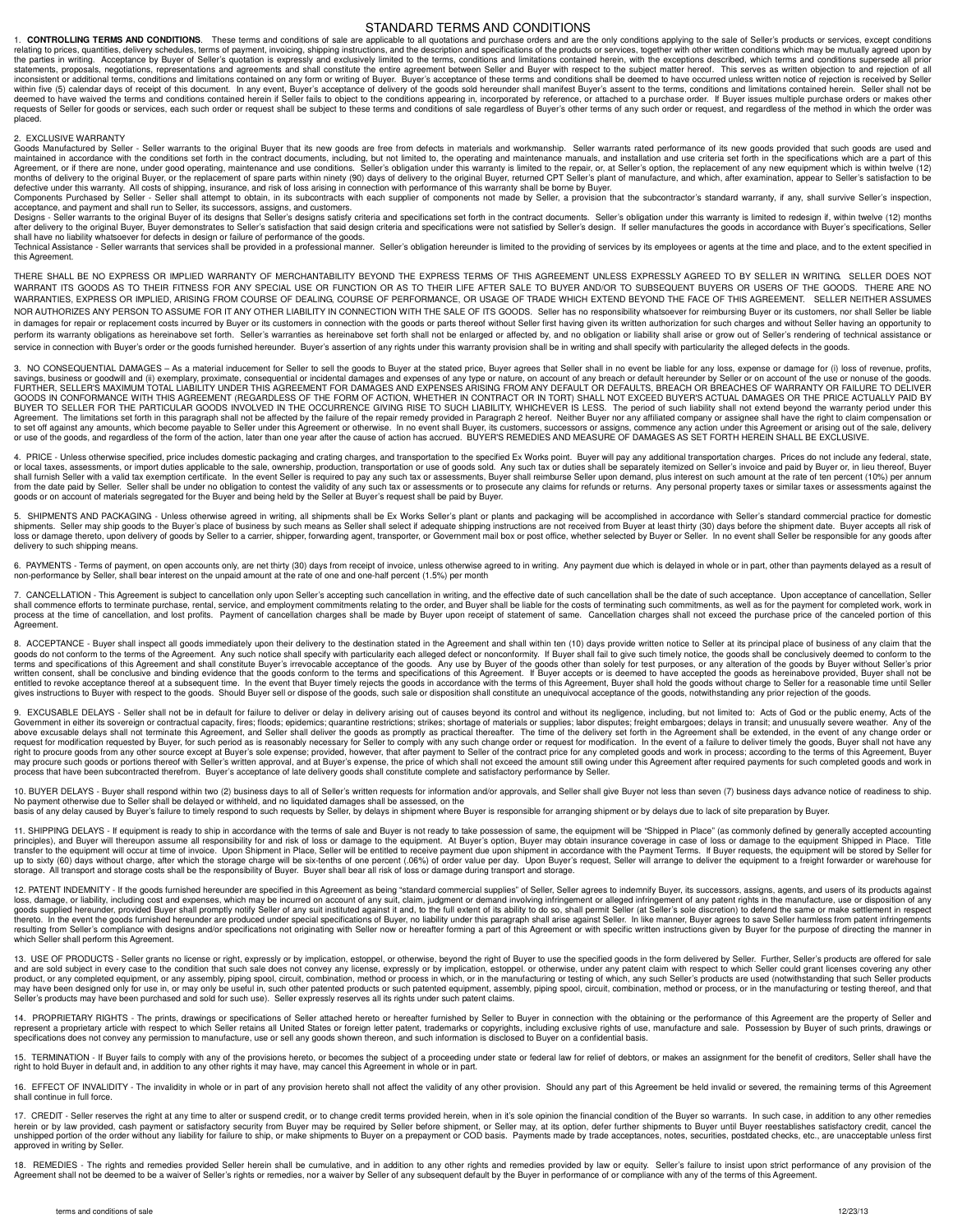## STANDARD TERMS AND CONDITIONS

1. CONTROLLING TERMS AND CONDITIONS. These terms and conditions of sale are applicable to all quotations and purchase orders and are the only conditions applying to the sale of Seller's products or services, except conditi the parties in writing. Acceptance by Buyer of Seller's quotation is expressly and exclusively limited to the terms, conditions and limitations contained herein, with the exceptions described, which terms and conditions su inconsistent or additional terms, conditions and limitations contained on any form or writing of Buyer. Buyer's acceptance of these terms and conditions shall be deemed to have occurred unless written notice of rejection i within five (5) calendar days of receipt of this document. In any event, Buyer's acceptance of delivery of the goods sold hereunder shall manifest Buyer's assent to the terms, conditions and limitations contained herein. S placed.

2. EXCLUSIVE WARRANTY

Goods Manufactured by Seller - Seller warrants to the original Buyer that its new goods are free from defects in materials and workmanship. Seller warrants rated performance of its new goods provided that such goods are us maintained in accordance with the conditions set forth in the contract documents, including, but not limited to, the operating and maintenance manuals, and installation and use criteria set forth in the specifications whic

defective under this warranty. All costs of shipping, insurance, and risk of loss arising in connection with performance of this warranty shall be borne by Buyer.<br>Components Purchased by Seller - Seller and the substants a

Designs - Seller warrants to the original Buyer of its designs that Seller's designs satisfy criteria and specifications set forth in the contract documents. Seller's obligation under this warranty is limited to redesign i

shall have no liability whatsoever for defects in design or failure of performance of the goods.<br>Technical Assistance - Seller warrants that services shall be provided in a professional manner. Seller's obligation hereunde this Agreement.

THERE SHALL BE NO EXPRESS OR IMPLIED WARRANTY OF MERCHANTABILITY BEYOND THE EXPRESS TERMS OF THIS AGREEMENT UNLESS EXPRESSLY AGREED TO BY SELLER IN WRITING. SELLER DOES NOT WARRANT ITS GOODS AS TO THEIR FITNESS FOR ANY SPECIAL USE OR FUNCTION OR AS TO THEIR LIFE AFTER SALE TO BUYER AND/OR TO SUBSEQUENT BUYERS OR USERS OF THE GOODS. THERE ARE NO WARRANTIES, EXPRESS OR IMPLIED, ARISING FROM COURSE OF DEALING, COURSE OF PERFORMANCE, OR USAGE OF TRADE WHICH EXTEND BEYOND THE FACE OF THIS AGREEMENT. SELLER NEITHER ASSUMES NOR AUTHORIZES ANY PERSON TO ASSUME FOR IT ANY OTHER LIABILITY IN CONNECTION WITH THE SALE OF ITS GOODS. Seller has no responsibility whatsoever for reimbursing Buyer or its customers, nor shall Seller be liable in damages for repair or replacement costs incurred by Buyer or its customers in connection with the goods or parts thereof without Seller first having given its written authorization for such charges and without Seller ha perform its warranty obligations as hereinabove set forth. Seller's warranties as hereinabove set forth shall not be enlarged or affected by, and no obligation or liability shall arise or grow out of Seller's rendering of service in connection with Buver's order or the goods furnished hereunder. Buver's assertion of any rights under this warranty provision shall be in writing and shall specify with particularity the alleged defects in the g

3. NO CONSEQUENTIAL DAMAGES – As a material inducement for Seller to sell the goods to Buyer at the stated price, Buyer agrees that Seller shall in no event be liable for any loss, expense or damage for (i) loss of revenue GOODS IN CONFORMANCE WITH THIS AGREEMENT (REGARDLESS OF THE FORM OF ACTION, WHETHER IN CONTRACT OR IN TORT) SHALL NOT EXCEED BUYER'S ACTUAL DAMAGES OR THE PRICE ACTUALLY PAID BY<br>BUYER TO SELLER FOR THE PARTICULAR GOODS INV Agreement. The limitations set forth in this paragraph shall not be affected by the failure of the repair remedy provided in Paragraph 2 hereof. Neither Buyer nor any affiliated company or assignee shall have the right to or use of the goods, and regardless of the form of the action, later than one year after the cause of action has accrued. BUYER'S REMEDIES AND MEASURE OF DAMAGES AS SET FORTH HEREIN SHALL BE EXCLUSIVE.

4. PRICE - Unless otherwise specified, price includes domestic packaging and crating charges, and transportation to the specified Ex Works point. Buyer will pay any additional transportation charges. Prices do not include or local taxes, assessments, or import duties applicable to the sale, ownership, production, transportation or use of goods sold. Any such tax or duties shall be separately itemized on Seller's invoice and paid by Buyer or from the date paid by Seller. Seller shall be under no obligation to contest the validity of any such tax or assessments or to prosecute any claims for refunds or returns. Any personal property taxes or similar taxes or as

5. SHIPMENTS AND PACKAGING - Unless otherwise agreed in writing, all shipments shall be Ex Works Seller's plant or plants and packaging will be accomplished in accordance with Seller's standard commercial practice for dome shipments. Seller may ship goods to the Buyer's place of business by such means as Seller shall select if adequate shipping instructions are not received from Buyer at least thirty (30) days before the shipment date. Buyer loss or damage thereto, upon delivery of goods by Seller to a carrier, shipper, forwarding agent, transporter, or Government mail box or post office, whether selected by Buyer or Seller. In no event shall Seller be respons delivery to such shipping means.

6. PAYMENTS - Terms of payment, on open accounts only, are net thirty (30) days from receipt of invoice, unless otherwise agreed to in writing. Any payment due which is delayed in whole or in part, other than payments dela non-performance by Seller, shall bear interest on the unpaid amount at the rate of one and one-half percent (1.5%) per month

7. CANCELLATION - This Agreement is subject to cancellation only upon Seller's accepting such cancellation in writing, and the effective date of such cancellation shall be the date of such acceptance. Upon acceptance of ca **A**greement

8. ACCEPTANCE - Buyer shall inspect all goods immediately upon their delivery to the desination stated in the Agreement and shall within ten (10) days provide solved, the productions of any claim the first of the Agreement gives instructions to Buyer with respect to the goods. Should Buyer sell or dispose of the goods, such sale or disposition shall constitute an unequivocal acceptance of the goods, notwithstanding any prior rejection of the

9. EXCUSABLE DELAYS - Seller shall not be in default for failure to deliver or delay in delivery arising out of causes beyond its control and without its negligence, including, but not limited to: Acts of God or the public above excusable delays shall not terminate this Agreement, and Seller shall deliver the goods as promptly as practical thereafter. The time of the delivery set forth in the Agreement shall be extended, in the event of any right to procure goods from any other source except at Buyer's sole expense; provided, however, that after payment to Seller of the contract price for any completed goods and work in process; according to the terms of this may procure such goods or portions thereof with Seller's written approval, and at Buyer's expense, the price of which shall not exceed the amount still owing under this Agreement after required payments for such completed

10. BUYER DELAYS - Buyer shall respond within two (2) business days to all of Seller's written requests for information and/or approvals, and Seller shall give Buyer not less than seven (7) business days advance notice of No payment otherwise due to Seller shall be delayed or withheld, and no liquidated damages shall be assessed, on the

basis of any delay caused by Buyer's failure to timely respond to such requests by Seller, by delays in shipment where Buyer is responsible for arranging shipment or by delays due to lack of site preparation by Buyer.

11. SHIPPING DELAYS - If equipment is ready to ship in accordance with the terms of sale and Buyer is not ready to take possession of same the equipment will be stommonly defined by generally accounting<br>principles), and Bu

12. PATENT INDEMNITY - If the goods furnished hereunder are specified in this Agreement as being "standard commercial supplies" of Seller, Seller agrees to indemnify Buyer, its successors, assigns, agents, and users of its thereto. In the event the goods furnished hereunder are produced under special specifications of Buyer, no liability under this paragraph shall arise against Seller. In like manner, Buyer agrees to save Seller harmless fro resulting from Seller's compliance with designs and/or specifications not originating with Seller now or hereafter forming a part of this Agreement or with specific written instructions given by Buyer for the purpose of di which Seller shall perform this Agreement.

13. USE OF PRODUCTS - Seller grants no license or right, expressly or by implication, estoppel, or otherwise, beyond the right of Buyer to use the specified goods in the form delivered by Seller. Further, Seller's products may have been designed only for use in, or may only be useful in, such other patented products or such patented equipment, assembly, piping spool, circuit, combination, method or process, or in the manufacturing or testing

14. PROPRIETARY RIGHTS - The prints, drawings or specifications of Seller attached hereto or hereafter furnished by Seller to Buyer in connection with the obtaining or the performance of this Agreement are the property of represent a proprietary article with respect to which Seller retains all United States or foreign letter patent, trademarks or copyrights, including exclusive rights of use, manufacture and sale. Possession by Buyer of suc

15. TERMINATION - If Buyer fails to comply with any of the provisions hereto, or becomes the subject of a proceeding under state or federal law for relief of debtors, or makes an assignment for the benefit of creditors, Se

16. EFFECT OF INVALIDITY - The invalidity in whole or in part of any provision hereto shall not affect the validity of any other provision. Should any part of this Agreement be held invalid or severed, the remaining terms shall continue in full force.

CREDIT - Seller reserves the right at any time to alter or suspend credit, or to change credit terms provided herein, when in it's sole opinion the financial condition of the Buyer so warrants. In such case, in addition to herein or by law provided, cash payment or satisfactory security from Buyer may be required by Seller before shipment, or Seller may, at its option, defer further shipments to Buyer until Buyer reestablishes satisfactory c approved in writing by Seller.

18. REMEDIES - The rights and remedies provided Seller herein shall be cumulative, and in addition to any other rights and remedies provided by law or equity. Seller's failure to insist upon strict performance of any provi